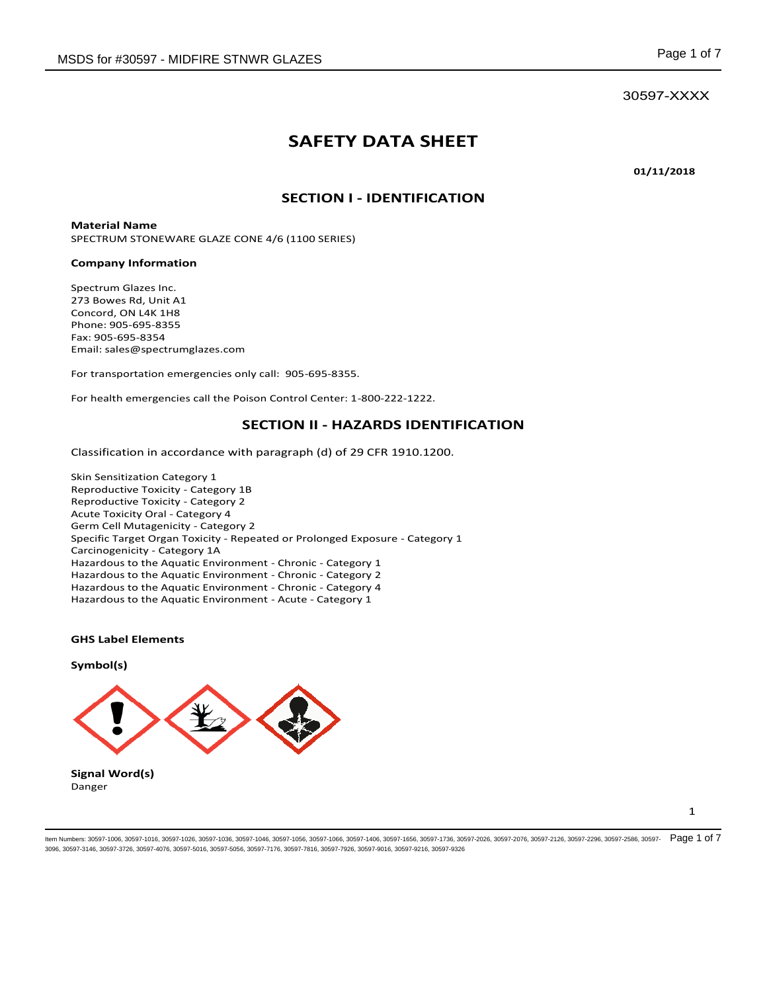30597-XXXX

# **SAFETY DATA SHEET**

**01/11/2018** 

### **SECTION I - IDENTIFICATION**

**Material Name**  SPECTRUM STONEWARE GLAZE CONE 4/6 (1100 SERIES)

#### **Company Information**

Spectrum Glazes Inc. 273 Bowes Rd, Unit A1 Concord, ON L4K 1H8 Phone: 905-695-8355 Fax: 905-695-8354 Email: sales@spectrumglazes.com

For transportation emergencies only call: 905-695-8355.

For health emergencies call the Poison Control Center: 1-800-222-1222.

#### **SECTION II - HAZARDS IDENTIFICATION**

Classification in accordance with paragraph (d) of 29 CFR 1910.1200.

Skin Sensitization Category 1 Reproductive Toxicity - Category 1B Reproductive Toxicity - Category 2 Acute Toxicity Oral - Category 4 Germ Cell Mutagenicity - Category 2 Specific Target Organ Toxicity - Repeated or Prolonged Exposure - Category 1 Carcinogenicity - Category 1A Hazardous to the Aquatic Environment - Chronic - Category 1 Hazardous to the Aquatic Environment - Chronic - Category 2 Hazardous to the Aquatic Environment - Chronic - Category 4 Hazardous to the Aquatic Environment - Acute - Category 1

#### **GHS Label Elements**

**Symbol(s)** 



Danger

1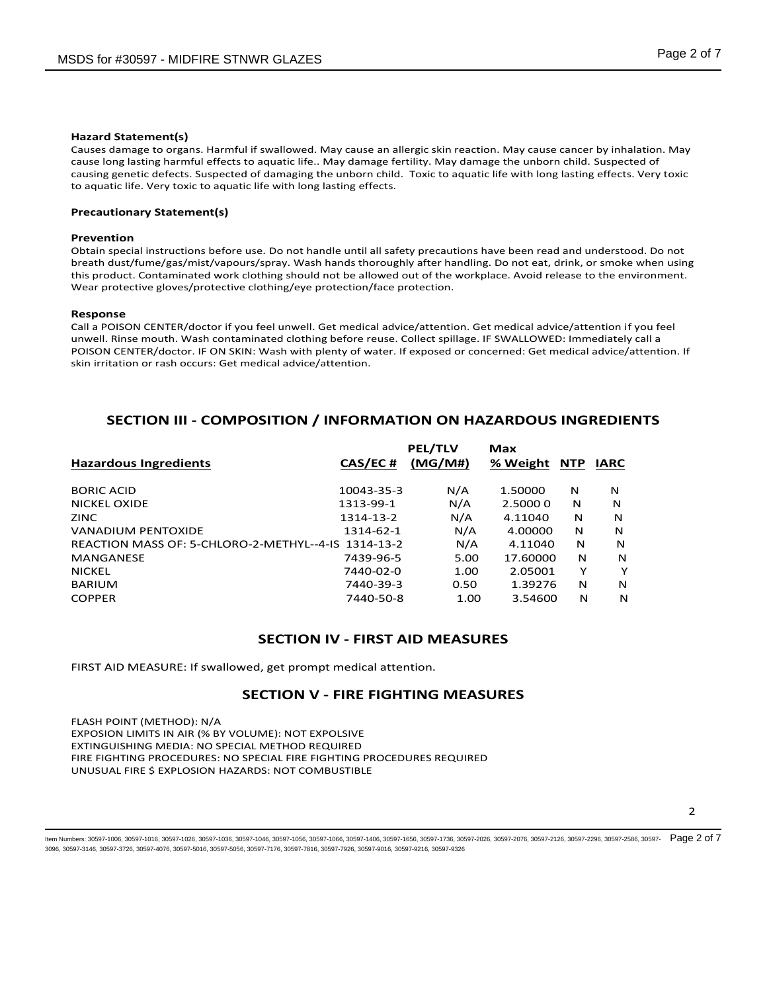#### **Hazard Statement(s)**

Causes damage to organs. Harmful if swallowed. May cause an allergic skin reaction. May cause cancer by inhalation. May cause long lasting harmful effects to aquatic life.. May damage fertility. May damage the unborn child. Suspected of causing genetic defects. Suspected of damaging the unborn child. Toxic to aquatic life with long lasting effects. Very toxic to aquatic life. Very toxic to aquatic life with long lasting effects.

#### **Precautionary Statement(s)**

#### **Prevention**

Obtain special instructions before use. Do not handle until all safety precautions have been read and understood. Do not breath dust/fume/gas/mist/vapours/spray. Wash hands thoroughly after handling. Do not eat, drink, or smoke when using this product. Contaminated work clothing should not be allowed out of the workplace. Avoid release to the environment. Wear protective gloves/protective clothing/eye protection/face protection.

#### **Response**

Call a POISON CENTER/doctor if you feel unwell. Get medical advice/attention. Get medical advice/attention if you feel unwell. Rinse mouth. Wash contaminated clothing before reuse. Collect spillage. IF SWALLOWED: Immediately call a POISON CENTER/doctor. IF ON SKIN: Wash with plenty of water. If exposed or concerned: Get medical advice/attention. If skin irritation or rash occurs: Get medical advice/attention.

### **SECTION III - COMPOSITION / INFORMATION ON HAZARDOUS INGREDIENTS**

|                                                     |            | <b>PEL/TLV</b> | Max      |            |      |
|-----------------------------------------------------|------------|----------------|----------|------------|------|
| <b>Hazardous Ingredients</b>                        | CAS/EC#    | (MG/M#)        | % Weight | <b>NTP</b> | IARC |
| <b>BORIC ACID</b>                                   | 10043-35-3 | N/A            | 1.50000  | N          | N    |
| <b>NICKEL OXIDE</b>                                 | 1313-99-1  | N/A            | 2.50000  | N          | N    |
| <b>ZINC</b>                                         | 1314-13-2  | N/A            | 4.11040  | N          | N    |
| VANADIUM PENTOXIDE                                  | 1314-62-1  | N/A            | 4.00000  | N          | N    |
| REACTION MASS OF: 5-CHLORO-2-METHYL--4-IS 1314-13-2 |            | N/A            | 4.11040  | N          | N    |
| <b>MANGANESE</b>                                    | 7439-96-5  | 5.00           | 17.60000 | N          | N    |
| <b>NICKEL</b>                                       | 7440-02-0  | 1.00           | 2.05001  | Y          | Y    |
| <b>BARIUM</b>                                       | 7440-39-3  | 0.50           | 1.39276  | N          | N    |
| <b>COPPER</b>                                       | 7440-50-8  | 1.00           | 3.54600  | N          | N    |

## **SECTION IV - FIRST AID MEASURES**

FIRST AID MEASURE: If swallowed, get prompt medical attention.

#### **SECTION V - FIRE FIGHTING MEASURES**

FLASH POINT (METHOD): N/A EXPOSION LIMITS IN AIR (% BY VOLUME): NOT EXPOLSIVE EXTINGUISHING MEDIA: NO SPECIAL METHOD REQUIRED FIRE FIGHTING PROCEDURES: NO SPECIAL FIRE FIGHTING PROCEDURES REQUIRED UNUSUAL FIRE \$ EXPLOSION HAZARDS: NOT COMBUSTIBLE

2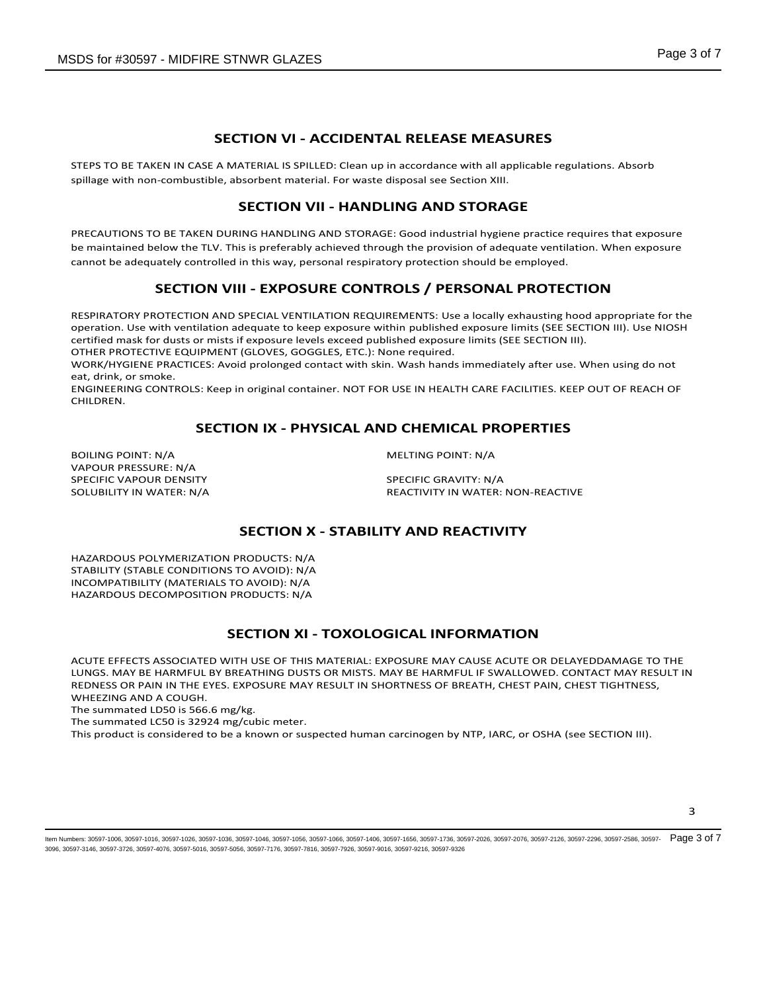## **SECTION VI - ACCIDENTAL RELEASE MEASURES**

STEPS TO BE TAKEN IN CASE A MATERIAL IS SPILLED: Clean up in accordance with all applicable regulations. Absorb spillage with non-combustible, absorbent material. For waste disposal see Section XIII.

## **SECTION VII - HANDLING AND STORAGE**

PRECAUTIONS TO BE TAKEN DURING HANDLING AND STORAGE: Good industrial hygiene practice requires that exposure be maintained below the TLV. This is preferably achieved through the provision of adequate ventilation. When exposure cannot be adequately controlled in this way, personal respiratory protection should be employed.

## **SECTION VIII - EXPOSURE CONTROLS / PERSONAL PROTECTION**

RESPIRATORY PROTECTION AND SPECIAL VENTILATION REQUIREMENTS: Use a locally exhausting hood appropriate for the operation. Use with ventilation adequate to keep exposure within published exposure limits (SEE SECTION III). Use NIOSH certified mask for dusts or mists if exposure levels exceed published exposure limits (SEE SECTION III).

OTHER PROTECTIVE EQUIPMENT (GLOVES, GOGGLES, ETC.): None required.

WORK/HYGIENE PRACTICES: Avoid prolonged contact with skin. Wash hands immediately after use. When using do not eat, drink, or smoke.

ENGINEERING CONTROLS: Keep in original container. NOT FOR USE IN HEALTH CARE FACILITIES. KEEP OUT OF REACH OF CHILDREN.

## **SECTION IX - PHYSICAL AND CHEMICAL PROPERTIES**

BOILING POINT: N/A MELTING POINT: N/A VAPOUR PRESSURE: N/A SPECIFIC VAPOUR DENSITY SPECIFIC GRAVITY: N/A

SOLUBILITY IN WATER: N/A REACTIVITY IN WATER: NON-REACTIVE

## **SECTION X - STABILITY AND REACTIVITY**

HAZARDOUS POLYMERIZATION PRODUCTS: N/A STABILITY (STABLE CONDITIONS TO AVOID): N/A INCOMPATIBILITY (MATERIALS TO AVOID): N/A HAZARDOUS DECOMPOSITION PRODUCTS: N/A

## **SECTION XI - TOXOLOGICAL INFORMATION**

ACUTE EFFECTS ASSOCIATED WITH USE OF THIS MATERIAL: EXPOSURE MAY CAUSE ACUTE OR DELAYEDDAMAGE TO THE LUNGS. MAY BE HARMFUL BY BREATHING DUSTS OR MISTS. MAY BE HARMFUL IF SWALLOWED. CONTACT MAY RESULT IN REDNESS OR PAIN IN THE EYES. EXPOSURE MAY RESULT IN SHORTNESS OF BREATH, CHEST PAIN, CHEST TIGHTNESS, WHEEZING AND A COUGH.

The summated LD50 is 566.6 mg/kg.

The summated LC50 is 32924 mg/cubic meter.

This product is considered to be a known or suspected human carcinogen by NTP, IARC, or OSHA (see SECTION III).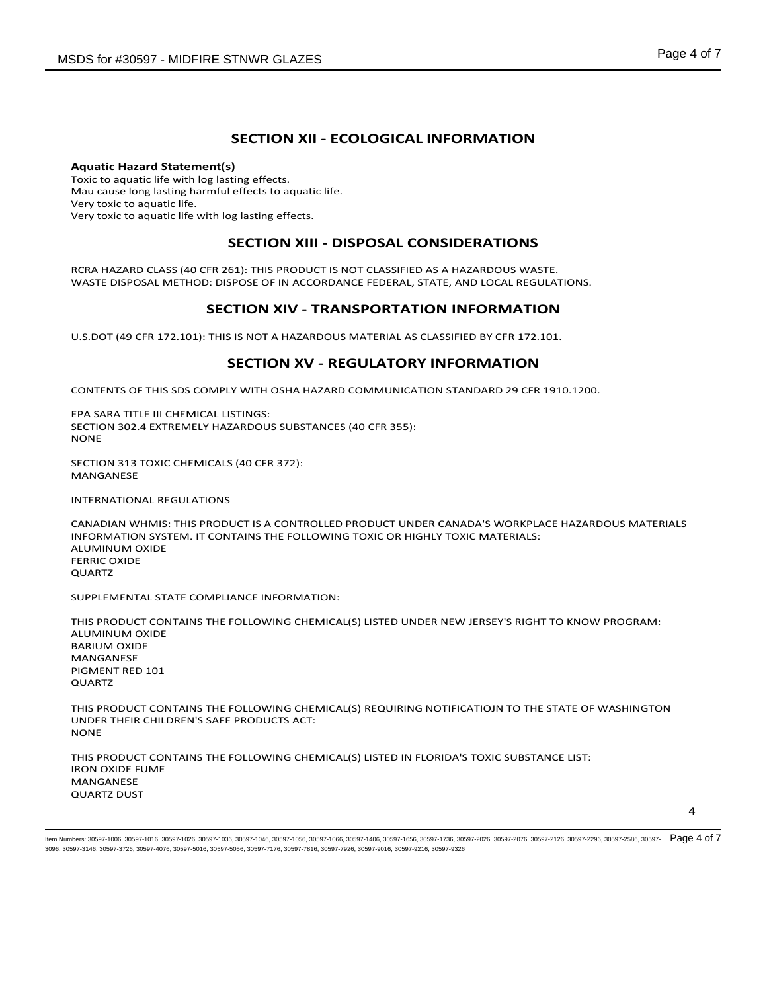## **SECTION XII - ECOLOGICAL INFORMATION**

**Aquatic Hazard Statement(s)** Toxic to aquatic life with log lasting effects. Mau cause long lasting harmful effects to aquatic life. Very toxic to aquatic life. Very toxic to aquatic life with log lasting effects.

### **SECTION XIII - DISPOSAL CONSIDERATIONS**

RCRA HAZARD CLASS (40 CFR 261): THIS PRODUCT IS NOT CLASSIFIED AS A HAZARDOUS WASTE. WASTE DISPOSAL METHOD: DISPOSE OF IN ACCORDANCE FEDERAL, STATE, AND LOCAL REGULATIONS.

### **SECTION XIV - TRANSPORTATION INFORMATION**

U.S.DOT (49 CFR 172.101): THIS IS NOT A HAZARDOUS MATERIAL AS CLASSIFIED BY CFR 172.101.

### **SECTION XV - REGULATORY INFORMATION**

CONTENTS OF THIS SDS COMPLY WITH OSHA HAZARD COMMUNICATION STANDARD 29 CFR 1910.1200.

EPA SARA TITLE III CHEMICAL LISTINGS: SECTION 302.4 EXTREMELY HAZARDOUS SUBSTANCES (40 CFR 355): NONE

SECTION 313 TOXIC CHEMICALS (40 CFR 372): MANGANESE

INTERNATIONAL REGULATIONS

CANADIAN WHMIS: THIS PRODUCT IS A CONTROLLED PRODUCT UNDER CANADA'S WORKPLACE HAZARDOUS MATERIALS INFORMATION SYSTEM. IT CONTAINS THE FOLLOWING TOXIC OR HIGHLY TOXIC MATERIALS: ALUMINUM OXIDE FERRIC OXIDE **OUARTZ** 

SUPPLEMENTAL STATE COMPLIANCE INFORMATION:

THIS PRODUCT CONTAINS THE FOLLOWING CHEMICAL(S) LISTED UNDER NEW JERSEY'S RIGHT TO KNOW PROGRAM: ALUMINUM OXIDE BARIUM OXIDE MANGANESE PIGMENT RED 101 QUARTZ

THIS PRODUCT CONTAINS THE FOLLOWING CHEMICAL(S) REQUIRING NOTIFICATIOJN TO THE STATE OF WASHINGTON UNDER THEIR CHILDREN'S SAFE PRODUCTS ACT: **NONE** 

THIS PRODUCT CONTAINS THE FOLLOWING CHEMICAL(S) LISTED IN FLORIDA'S TOXIC SUBSTANCE LIST: IRON OXIDE FUME MANGANESE QUARTZ DUST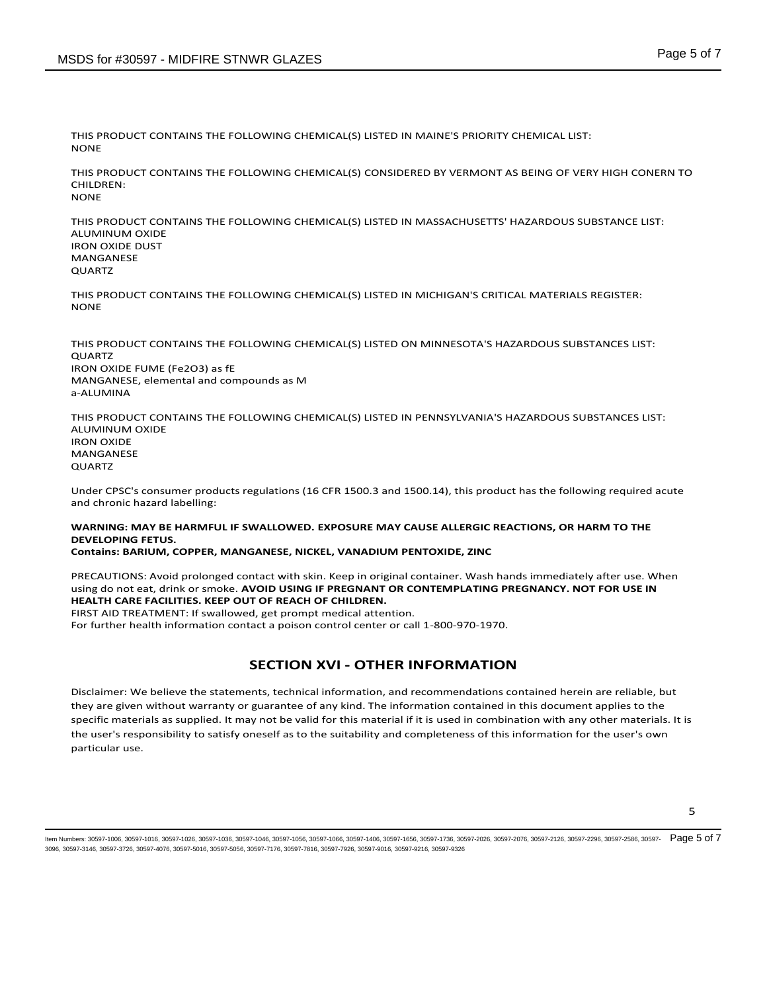THIS PRODUCT CONTAINS THE FOLLOWING CHEMICAL(S) LISTED IN MAINE'S PRIORITY CHEMICAL LIST: NONE

THIS PRODUCT CONTAINS THE FOLLOWING CHEMICAL(S) CONSIDERED BY VERMONT AS BEING OF VERY HIGH CONERN TO CHILDREN: NONE

THIS PRODUCT CONTAINS THE FOLLOWING CHEMICAL(S) LISTED IN MASSACHUSETTS' HAZARDOUS SUBSTANCE LIST: ALUMINUM OXIDE IRON OXIDE DUST MANGANESE QUARTZ

THIS PRODUCT CONTAINS THE FOLLOWING CHEMICAL(S) LISTED IN MICHIGAN'S CRITICAL MATERIALS REGISTER: **NONE** 

THIS PRODUCT CONTAINS THE FOLLOWING CHEMICAL(S) LISTED ON MINNESOTA'S HAZARDOUS SUBSTANCES LIST: QUARTZ IRON OXIDE FUME (Fe2O3) as fE MANGANESE, elemental and compounds as M a-ALUMINA

THIS PRODUCT CONTAINS THE FOLLOWING CHEMICAL(S) LISTED IN PENNSYLVANIA'S HAZARDOUS SUBSTANCES LIST: ALUMINUM OXIDE IRON OXIDE MANGANESE QUARTZ

Under CPSC's consumer products regulations (16 CFR 1500.3 and 1500.14), this product has the following required acute and chronic hazard labelling:

### **WARNING: MAY BE HARMFUL IF SWALLOWED. EXPOSURE MAY CAUSE ALLERGIC REACTIONS, OR HARM TO THE DEVELOPING FETUS.**

#### **Contains: BARIUM, COPPER, MANGANESE, NICKEL, VANADIUM PENTOXIDE, ZINC**

PRECAUTIONS: Avoid prolonged contact with skin. Keep in original container. Wash hands immediately after use. When using do not eat, drink or smoke. **AVOID USING IF PREGNANT OR CONTEMPLATING PREGNANCY. NOT FOR USE IN HEALTH CARE FACILITIES. KEEP OUT OF REACH OF CHILDREN.**

FIRST AID TREATMENT: If swallowed, get prompt medical attention.

For further health information contact a poison control center or call 1-800-970-1970.

## **SECTION XVI - OTHER INFORMATION**

Disclaimer: We believe the statements, technical information, and recommendations contained herein are reliable, but they are given without warranty or guarantee of any kind. The information contained in this document applies to the specific materials as supplied. It may not be valid for this material if it is used in combination with any other materials. It is the user's responsibility to satisfy oneself as to the suitability and completeness of this information for the user's own particular use.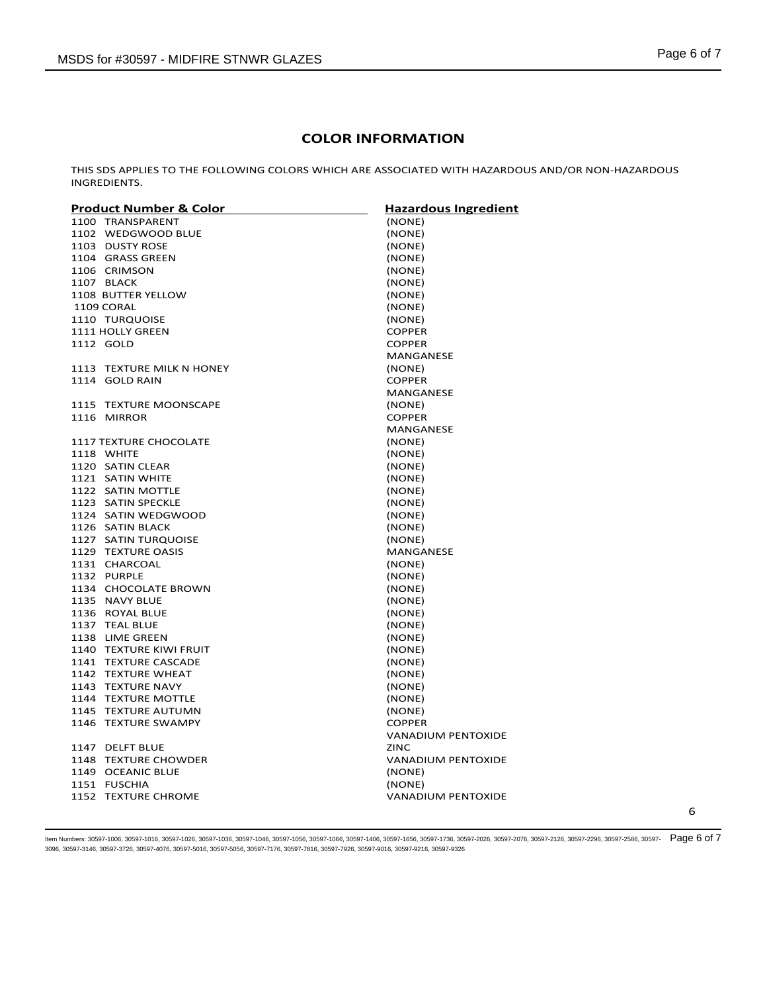## **COLOR INFORMATION**

THIS SDS APPLIES TO THE FOLLOWING COLORS WHICH ARE ASSOCIATED WITH HAZARDOUS AND/OR NON-HAZARDOUS INGREDIENTS.

| Product Number & Color        | <b>Hazardous Ingredient</b> |
|-------------------------------|-----------------------------|
| 1100 TRANSPARENT              | (NONE)                      |
| 1102 WEDGWOOD BLUE            | (NONE)                      |
| 1103 DUSTY ROSE               | (NONE)                      |
| 1104 GRASS GREEN              | (NONE)                      |
| 1106 CRIMSON                  | (NONE)                      |
| 1107 BLACK                    | (NONE)                      |
| 1108 BUTTER YELLOW            | (NONE)                      |
| 1109 CORAL                    | (NONE)                      |
| 1110 TURQUOISE                | (NONE)                      |
| <b>1111 HOLLY GREEN</b>       | <b>COPPER</b>               |
| 1112 GOLD                     | <b>COPPER</b>               |
|                               | MANGANESE                   |
| 1113 TEXTURE MILK N HONEY     | (NONE)                      |
| 1114 GOLD RAIN                | <b>COPPER</b>               |
|                               | <b>MANGANESE</b>            |
| 1115 TEXTURE MOONSCAPE        | (NONE)                      |
| 1116 MIRROR                   | <b>COPPER</b>               |
|                               | MANGANESE                   |
| <b>1117 TEXTURE CHOCOLATE</b> | (NONE)                      |
| 1118 WHITE                    | (NONE)                      |
| 1120 SATIN CLEAR              | (NONE)                      |
| 1121 SATIN WHITE              | (NONE)                      |
| 1122 SATIN MOTTLE             | (NONE)                      |
| 1123 SATIN SPECKLE            | (NONE)                      |
| 1124 SATIN WEDGWOOD           | (NONE)                      |
| 1126 SATIN BLACK              | (NONE)                      |
| 1127 SATIN TURQUOISE          | (NONE)                      |
| 1129 TEXTURE OASIS            | MANGANESE                   |
| 1131 CHARCOAL                 | (NONE)                      |
| 1132 PURPLE                   | (NONE)                      |
| 1134 CHOCOLATE BROWN          | (NONE)                      |
| 1135 NAVY BLUE                | (NONE)                      |
| 1136 ROYAL BLUE               | (NONE)                      |
| 1137 TEAL BLUE                | (NONE)                      |
| 1138 LIME GREEN               | (NONE)                      |
| 1140 TEXTURE KIWI FRUIT       | (NONE)                      |
| 1141 TEXTURE CASCADE          | (NONE)                      |
| 1142 TEXTURE WHEAT            | (NONE)                      |
| 1143 TEXTURE NAVY             | (NONE)                      |
| 1144 TEXTURE MOTTLE           | (NONE)                      |
| 1145 TEXTURE AUTUMN           | (NONE)                      |
| 1146 TEXTURE SWAMPY           | <b>COPPER</b>               |
|                               | <b>VANADIUM PENTOXIDE</b>   |
| 1147 DELFT BLUE               | <b>ZINC</b>                 |
| 1148 TEXTURE CHOWDER          | <b>VANADIUM PENTOXIDE</b>   |
| 1149 OCEANIC BLUE             | (NONE)                      |
| 1151 FUSCHIA                  | (NONE)                      |
| 1152 TEXTURE CHROME           | <b>VANADIUM PENTOXIDE</b>   |
|                               |                             |